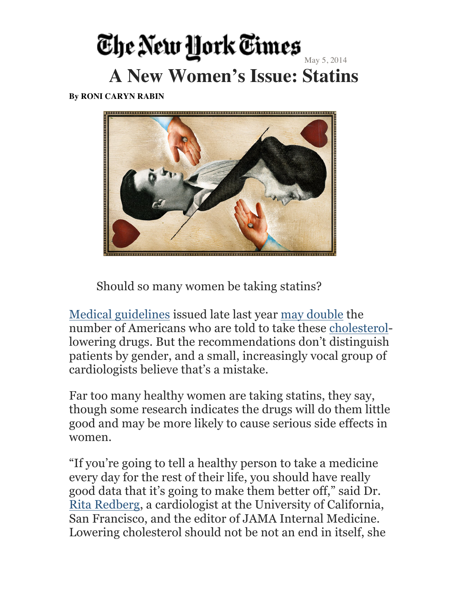#### The New York Times May 5, 2014 **A New Women's Issue: Statins By RONI CARYN RABIN**



Should so many women be taking statins?

Medical guidelines issued late last year may double the number of Americans who are told to take these cholesterollowering drugs. But the recommendations don't distinguish patients by gender, and a small, increasingly vocal group of cardiologists believe that's a mistake.

Far too many healthy women are taking statins, they say, though some research indicates the drugs will do them little good and may be more likely to cause serious side effects in women.

"If you're going to tell a healthy person to take a medicine every day for the rest of their life, you should have really good data that it's going to make them better off," said Dr. Rita Redberg, a cardiologist at the University of California, San Francisco, and the editor of JAMA Internal Medicine. Lowering cholesterol should not be not an end in itself, she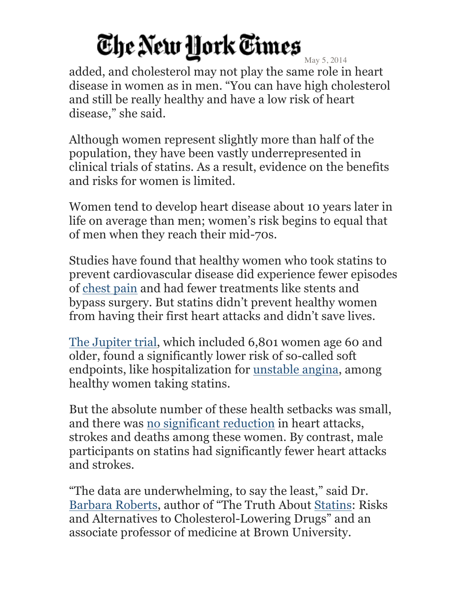May 5, 2014 added, and cholesterol may not play the same role in heart disease in women as in men. "You can have high cholesterol and still be really healthy and have a low risk of heart disease," she said.

Although women represent slightly more than half of the population, they have been vastly underrepresented in clinical trials of statins. As a result, evidence on the benefits and risks for women is limited.

Women tend to develop heart disease about 10 years later in life on average than men; women's risk begins to equal that of men when they reach their mid-70s.

Studies have found that healthy women who took statins to prevent cardiovascular disease did experience fewer episodes of chest pain and had fewer treatments like stents and bypass surgery. But statins didn't prevent healthy women from having their first heart attacks and didn't save lives.

The Jupiter trial, which included 6,801 women age 60 and older, found a significantly lower risk of so-called soft endpoints, like hospitalization for unstable angina, among healthy women taking statins.

But the absolute number of these health setbacks was small, and there was no significant reduction in heart attacks, strokes and deaths among these women. By contrast, male participants on statins had significantly fewer heart attacks and strokes.

"The data are underwhelming, to say the least," said Dr. Barbara Roberts, author of "The Truth About Statins: Risks and Alternatives to Cholesterol-Lowering Drugs" and an associate professor of medicine at Brown University.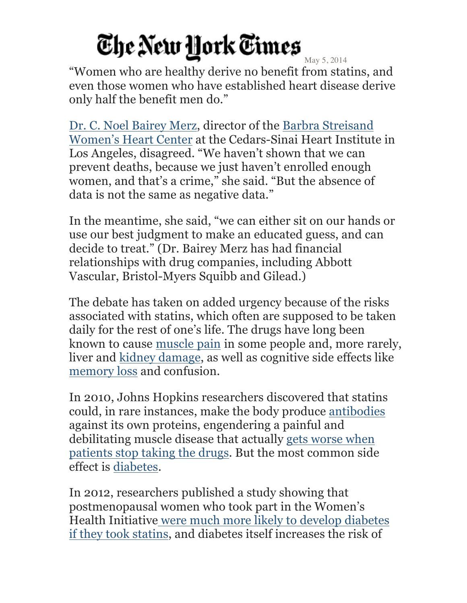May 5, 2014 "Women who are healthy derive no benefit from statins, and even those women who have established heart disease derive only half the benefit men do."

Dr. C. Noel Bairey Merz, director of the Barbra Streisand Women's Heart Center at the Cedars-Sinai Heart Institute in Los Angeles, disagreed. "We haven't shown that we can prevent deaths, because we just haven't enrolled enough women, and that's a crime," she said. "But the absence of data is not the same as negative data."

In the meantime, she said, "we can either sit on our hands or use our best judgment to make an educated guess, and can decide to treat." (Dr. Bairey Merz has had financial relationships with drug companies, including Abbott Vascular, Bristol-Myers Squibb and Gilead.)

The debate has taken on added urgency because of the risks associated with statins, which often are supposed to be taken daily for the rest of one's life. The drugs have long been known to cause muscle pain in some people and, more rarely, liver and kidney damage, as well as cognitive side effects like memory loss and confusion.

In 2010, Johns Hopkins researchers discovered that statins could, in rare instances, make the body produce antibodies against its own proteins, engendering a painful and debilitating muscle disease that actually gets worse when patients stop taking the drugs. But the most common side effect is diabetes.

In 2012, researchers published a study showing that postmenopausal women who took part in the Women's Health Initiative were much more likely to develop diabetes if they took statins, and diabetes itself increases the risk of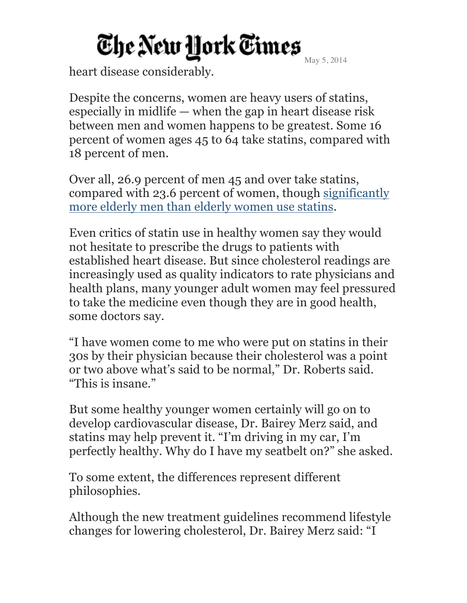May 5, 2014

heart disease considerably.

Despite the concerns, women are heavy users of statins, especially in midlife — when the gap in heart disease risk between men and women happens to be greatest. Some 16 percent of women ages 45 to 64 take statins, compared with 18 percent of men.

Over all, 26.9 percent of men 45 and over take statins, compared with 23.6 percent of women, though significantly more elderly men than elderly women use statins.

Even critics of statin use in healthy women say they would not hesitate to prescribe the drugs to patients with established heart disease. But since cholesterol readings are increasingly used as quality indicators to rate physicians and health plans, many younger adult women may feel pressured to take the medicine even though they are in good health, some doctors say.

"I have women come to me who were put on statins in their 30s by their physician because their cholesterol was a point or two above what's said to be normal," Dr. Roberts said. "This is insane."

But some healthy younger women certainly will go on to develop cardiovascular disease, Dr. Bairey Merz said, and statins may help prevent it. "I'm driving in my car, I'm perfectly healthy. Why do I have my seatbelt on?" she asked.

To some extent, the differences represent different philosophies.

Although the new treatment guidelines recommend lifestyle changes for lowering cholesterol, Dr. Bairey Merz said: "I